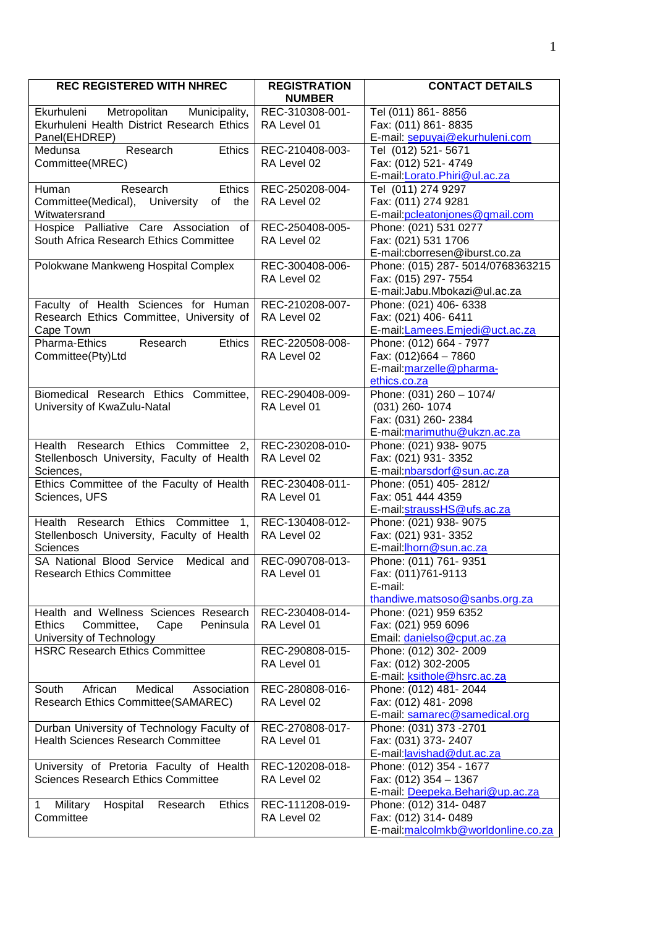| <b>REC REGISTERED WITH NHREC</b>                                                                                      | <b>REGISTRATION</b><br><b>NUMBER</b> | <b>CONTACT DETAILS</b>                                                                               |
|-----------------------------------------------------------------------------------------------------------------------|--------------------------------------|------------------------------------------------------------------------------------------------------|
| Metropolitan<br>Municipality,<br>Ekurhuleni<br>Ekurhuleni Health District Research Ethics<br>Panel(EHDREP)            | REC-310308-001-<br>RA Level 01       | Tel (011) 861-8856<br>Fax: (011) 861-8835<br>E-mail: sepuyaj@ekurhuleni.com                          |
| Medunsa<br>Research<br><b>Ethics</b><br>Committee(MREC)                                                               | REC-210408-003-<br>RA Level 02       | Tel (012) 521-5671<br>Fax: (012) 521-4749<br>E-mail:Lorato.Phiri@ul.ac.za                            |
| Research<br>Ethics<br>Human<br>Committee(Medical), University<br>of the<br>Witwatersrand                              | REC-250208-004-<br>RA Level 02       | Tel (011) 274 9297<br>Fax: (011) 274 9281<br>E-mail: pcleatonjones@gmail.com                         |
| Hospice Palliative Care Association of<br>South Africa Research Ethics Committee                                      | REC-250408-005-<br>RA Level 02       | Phone: (021) 531 0277<br>Fax: (021) 531 1706<br>E-mail:cborresen@iburst.co.za                        |
| Polokwane Mankweng Hospital Complex                                                                                   | REC-300408-006-<br>RA Level 02       | Phone: (015) 287- 5014/0768363215<br>Fax: (015) 297-7554<br>E-mail:Jabu.Mbokazi@ul.ac.za             |
| Faculty of Health Sciences for Human<br>Research Ethics Committee, University of<br>Cape Town                         | REC-210208-007-<br>RA Level 02       | Phone: (021) 406- 6338<br>Fax: (021) 406- 6411<br>E-mail: Lamees. Emjedi@uct.ac.za                   |
| Pharma-Ethics<br>Research<br><b>Ethics</b><br>Committee(Pty)Ltd                                                       | REC-220508-008-<br>RA Level 02       | Phone: (012) 664 - 7977<br>Fax: (012)664 - 7860<br>E-mail: marzelle@pharma-<br>ethics.co.za          |
| Biomedical Research Ethics Committee,<br>University of KwaZulu-Natal                                                  | REC-290408-009-<br>RA Level 01       | Phone: $(031)$ 260 - 1074/<br>$(031)$ 260-1074<br>Fax: (031) 260-2384<br>E-mail:marimuthu@ukzn.ac.za |
| Health Research Ethics Committee<br>2,<br>Stellenbosch University, Faculty of Health<br>Sciences,                     | REC-230208-010-<br>RA Level 02       | Phone: (021) 938- 9075<br>Fax: (021) 931-3352<br>E-mail: nbarsdorf@sun.ac.za                         |
| Ethics Committee of the Faculty of Health<br>Sciences, UFS                                                            | REC-230408-011-<br>RA Level 01       | Phone: (051) 405-2812/<br>Fax: 051 444 4359<br>E-mail:straussHS@ufs.ac.za                            |
| Health Research Ethics Committee 1,<br>Stellenbosch University, Faculty of Health<br>Sciences                         | REC-130408-012-<br>RA Level 02       | Phone: (021) 938- 9075<br>Fax: (021) 931-3352<br>E-mail: horn@sun.ac.za                              |
| SA National Blood Service Medical and<br><b>Research Ethics Committee</b>                                             | REC-090708-013-<br>RA Level 01       | Phone: (011) 761- 9351<br>Fax: (011)761-9113<br>E-mail:<br>thandiwe.matsoso@sanbs.org.za             |
| Health and Wellness Sciences Research<br><b>Ethics</b><br>Committee,<br>Peninsula<br>Cape<br>University of Technology | REC-230408-014-<br>RA Level 01       | Phone: (021) 959 6352<br>Fax: (021) 959 6096<br>Email: danielso@cput.ac.za                           |
| <b>HSRC Research Ethics Committee</b>                                                                                 | REC-290808-015-<br>RA Level 01       | Phone: (012) 302- 2009<br>Fax: (012) 302-2005<br>E-mail: ksithole@hsrc.ac.za                         |
| Medical<br>African<br>Association<br>South<br>Research Ethics Committee(SAMAREC)                                      | REC-280808-016-<br>RA Level 02       | Phone: (012) 481-2044<br>Fax: (012) 481-2098<br>E-mail: samarec@samedical.org                        |
| Durban University of Technology Faculty of<br><b>Health Sciences Research Committee</b>                               | REC-270808-017-<br>RA Level 01       | Phone: (031) 373 - 2701<br>Fax: (031) 373- 2407<br>E-mail: lavishad@dut.ac.za                        |
| University of Pretoria Faculty of Health<br><b>Sciences Research Ethics Committee</b>                                 | REC-120208-018-<br>RA Level 02       | Phone: (012) 354 - 1677<br>Fax: (012) 354 - 1367<br>E-mail: Deepeka.Behari@up.ac.za                  |
| Hospital<br>Military<br>Research<br><b>Ethics</b><br>1<br>Committee                                                   | REC-111208-019-<br>RA Level 02       | Phone: (012) 314- 0487<br>Fax: (012) 314-0489<br>E-mail: malcolmkb@worldonline.co.za                 |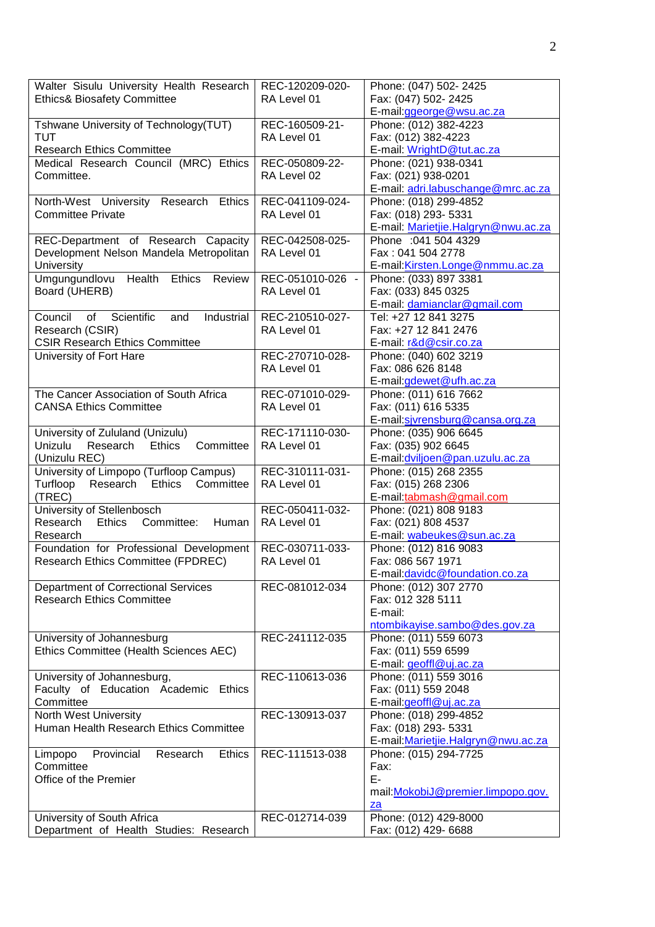| Walter Sisulu University Health Research                                  | REC-120209-020-  | Phone: (047) 502- 2425                                        |
|---------------------------------------------------------------------------|------------------|---------------------------------------------------------------|
| <b>Ethics&amp; Biosafety Committee</b>                                    | RA Level 01      | Fax: (047) 502-2425                                           |
|                                                                           |                  | E-mail:ggeorge@wsu.ac.za                                      |
| Tshwane University of Technology(TUT)                                     | REC-160509-21-   | Phone: (012) 382-4223                                         |
| <b>TUT</b>                                                                | RA Level 01      | Fax: (012) 382-4223                                           |
| <b>Research Ethics Committee</b><br>Medical Research Council (MRC) Ethics | REC-050809-22-   | E-mail: WrightD@tut.ac.za                                     |
| Committee.                                                                | RA Level 02      | Phone: (021) 938-0341<br>Fax: (021) 938-0201                  |
|                                                                           |                  | E-mail: adri.labuschange@mrc.ac.za                            |
| Ethics<br>North-West University<br>Research                               | REC-041109-024-  | Phone: (018) 299-4852                                         |
| <b>Committee Private</b>                                                  | RA Level 01      | Fax: (018) 293- 5331                                          |
|                                                                           |                  | E-mail: Marietjie.Halgryn@nwu.ac.za                           |
| REC-Department of Research Capacity                                       | REC-042508-025-  | Phone : 041 504 4329                                          |
| Development Nelson Mandela Metropolitan                                   | RA Level 01      | Fax: 041 504 2778                                             |
| University                                                                |                  | E-mail: Kirsten.Longe@nmmu.ac.za                              |
| Umgungundlovu<br>Health<br>Ethics<br>Review                               | REC-051010-026 - | Phone: (033) 897 3381                                         |
| Board (UHERB)                                                             | RA Level 01      | Fax: (033) 845 0325                                           |
|                                                                           |                  | E-mail: damianclar@gmail.com                                  |
| Council<br>Scientific<br>οf<br>Industrial<br>and                          | REC-210510-027-  | Tel: +27 12 841 3275                                          |
| Research (CSIR)                                                           | RA Level 01      | Fax: +27 12 841 2476                                          |
| <b>CSIR Research Ethics Committee</b>                                     |                  | E-mail: r&d@csir.co.za                                        |
| University of Fort Hare                                                   | REC-270710-028-  | Phone: (040) 602 3219                                         |
|                                                                           | RA Level 01      | Fax: 086 626 8148                                             |
|                                                                           |                  | E-mail:gdewet@ufh.ac.za                                       |
| The Cancer Association of South Africa                                    | REC-071010-029-  | Phone: (011) 616 7662                                         |
| <b>CANSA Ethics Committee</b>                                             | RA Level 01      | Fax: (011) 616 5335                                           |
|                                                                           |                  | E-mail:sivrensburg@cansa.org.za                               |
| University of Zululand (Unizulu)<br>Research<br>Ethics<br>Committee       | REC-171110-030-  | Phone: (035) 906 6645                                         |
| Unizulu<br>(Unizulu REC)                                                  | RA Level 01      | Fax: (035) 902 6645<br>E-mail: dviljoen@pan.uzulu.ac.za       |
| University of Limpopo (Turfloop Campus)                                   | REC-310111-031-  | Phone: (015) 268 2355                                         |
| Turfloop<br>Research Ethics<br>Committee                                  | RA Level 01      | Fax: (015) 268 2306                                           |
| (TREC)                                                                    |                  | E-mail:tabmash@gmail.com                                      |
| University of Stellenbosch                                                | REC-050411-032-  | Phone: (021) 808 9183                                         |
| Committee:<br>Research<br>Ethics<br>Human                                 | RA Level 01      | Fax: (021) 808 4537                                           |
| Research                                                                  |                  | E-mail: wabeukes@sun.ac.za                                    |
| Foundation for Professional Development                                   | REC-030711-033-  | Phone: (012) 816 9083                                         |
| Research Ethics Committee (FPDREC)                                        | RA Level 01      | Fax: 086 567 1971                                             |
|                                                                           |                  | E-mail: davidc@foundation.co.za                               |
| Department of Correctional Services                                       | REC-081012-034   | Phone: (012) 307 2770                                         |
| <b>Research Ethics Committee</b>                                          |                  | Fax: 012 328 5111                                             |
|                                                                           |                  | E-mail:                                                       |
|                                                                           |                  | ntombikayise.sambo@des.gov.za                                 |
| University of Johannesburg                                                | REC-241112-035   | Phone: (011) 559 6073                                         |
| Ethics Committee (Health Sciences AEC)                                    |                  | Fax: (011) 559 6599                                           |
|                                                                           |                  | E-mail: geoffl@uj.ac.za                                       |
| University of Johannesburg,                                               | REC-110613-036   | Phone: (011) 559 3016                                         |
| Faculty of Education Academic<br><b>Ethics</b>                            |                  | Fax: (011) 559 2048                                           |
| Committee                                                                 |                  | E-mail:geoffl@uj.ac.za                                        |
| North West University                                                     | REC-130913-037   | Phone: (018) 299-4852                                         |
| Human Health Research Ethics Committee                                    |                  | Fax: (018) 293- 5331                                          |
| Provincial<br><b>Ethics</b>                                               | REC-111513-038   | E-mail: Marietjie. Halgryn@nwu.ac.za<br>Phone: (015) 294-7725 |
| Limpopo<br>Research<br>Committee                                          |                  | Fax:                                                          |
| Office of the Premier                                                     |                  | E-                                                            |
|                                                                           |                  | mail: MokobiJ@premier.limpopo.gov.                            |
|                                                                           |                  | $_{\underline{z}a}$                                           |
| University of South Africa                                                | REC-012714-039   | Phone: (012) 429-8000                                         |
| Department of Health Studies: Research                                    |                  | Fax: (012) 429- 6688                                          |